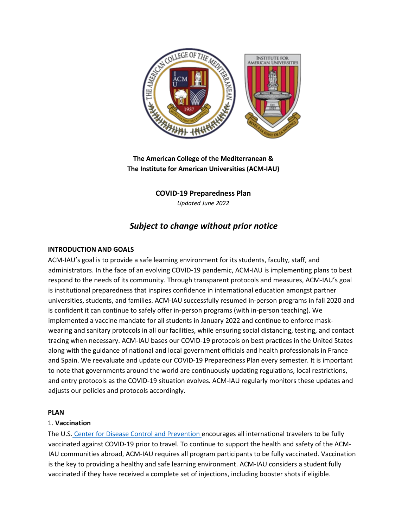

**The American College of the Mediterranean & The Institute for American Universities (ACM-IAU)** 

> **COVID-19 Preparedness Plan**  *Updated June 2022*

# *Subject to change without prior notice*

# **INTRODUCTION AND GOALS**

ACM-IAU's goal is to provide a safe learning environment for its students, faculty, staff, and administrators. In the face of an evolving COVID-19 pandemic, ACM-IAU is implementing plans to best respond to the needs of its community. Through transparent protocols and measures, ACM-IAU's goal is institutional preparedness that inspires confidence in international education amongst partner universities, students, and families. ACM-IAU successfully resumed in-person programs in fall 2020 and is confident it can continue to safely offer in-person programs (with in-person teaching). We implemented a vaccine mandate for all students in January 2022 and continue to enforce maskwearing and sanitary protocols in all our facilities, while ensuring social distancing, testing, and contact tracing when necessary. ACM-IAU bases our COVID-19 protocols on best practices in the United States along with the guidance of national and local government officials and health professionals in France and Spain. We reevaluate and update our COVID-19 Preparedness Plan every semester. It is important to note that governments around the world are continuously updating regulations, local restrictions, and entry protocols as the COVID-19 situation evolves. ACM-IAU regularly monitors these updates and adjusts our policies and protocols accordingly.

# **PLAN**

# 1. **Vaccination**

The U.S. [Center for Disease Control and Prevention](https://www.spth.gob.es/create) [e](https://www.mscbs.gob.es/en/profesionales/saludPublica/ccayes/alertasActual/nCov/spth.htm)ncourages all international travelers to be fully vaccinated against COVID-19 prior to travel. To continue to support the health and safety of the ACM-IAU communities abroad, ACM-IAU requires all program participants to be fully vaccinated. Vaccination is the key to providing a healthy and safe learning environment. ACM-IAU considers a student fully vaccinated if they have received a complete set of injections, including booster shots if eligible.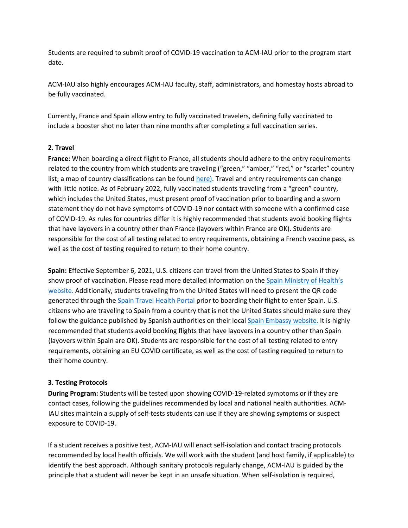Students are required to submit proof of COVID-19 vaccination to ACM-IAU prior to the program start date.

ACM-IAU also highly encourages ACM-IAU faculty, staff, administrators, and homestay hosts abroad to be fully vaccinated.

Currently, France and Spain allow entry to fully vaccinated travelers, defining fully vaccinated to include a booster shot no later than nine months after completing a full vaccination series.

#### **2. Travel**

**France:** When boarding a direct flight to France, all students should adhere to the entry requirements related to the country from which students are traveling ("green," "amber," "red," or "scarlet" country list; a map of country classifications can be foun[d here](https://www.mscbs.gob.es/en/profesionales/saludPublica/ccayes/alertasActual/nCov/spth.htm)[\).](http://www.exteriores.gob.es/portal/es/serviciosalciudadano/paginas/embajadasconsulados.aspx) Travel and entry requirements can change with little notice. As of February 2022, fully vaccinated students traveling from a "green" country, which includes the United States, must present proof of vaccination prior to boarding and a sworn statement they do not have symptoms of COVID-19 nor contact with someone with a confirmed case of COVID-19. As rules for countries differ it is highly recommended that students avoid booking flights that have layovers in a country other than France (layovers within France are OK). Students are responsible for the cost of all testing related to entry requirements, obtaining a French vaccine pass, as well as the cost of testing required to return to their home country.

**Spain:** Effective September 6, 2021, U.S. citizens can travel from the United States to Spain if they show proof of vaccination. Pl[e](https://www.cdc.gov/coronavirus/2019-ncov/travelers/international-travel-during-covid19.html)ase read more detailed information on the [Spain](https://www.spth.gob.es/create) [Ministry](https://www.cdc.gov/coronavirus/2019-ncov/travelers/international-travel-during-covid19.html) [of](https://www.interieur.gouv.fr/covid-19-deplacements-internationaux) [Health's](https://www.interieur.gouv.fr/Actualites/L-actu-du-Ministere/Certificate-of-international-travel) [website](https://www.diplomatie.gouv.fr/en/coming-to-france/coming-to-france-your-covid-19-questions-answered/article/coming-to-france-your-covid-19-questions-answered)[.](https://www.spth.gob.es/create) Additionally, students traveling from the United States will need to present the QR code generated through the [Spain Travel Health Portal](https://www.mscbs.gob.es/en/profesionales/saludPublica/ccayes/alertasActual/nCov/spth.htm) prior to boarding their flight to enter Spain. U.S. citizens who are traveling to Spain from a country that is not the United States should make sure they follow the guidance published by Spanish authorities on their local [Spain Embassy website.](https://www.mscbs.gob.es/en/profesionales/saludPublica/ccayes/alertasActual/nCov/spth.htm) It is highly recommended that students avoid booking flights that have layovers in a country other than Spain (layovers within Spain are OK). Students are responsible for the cost of all testing related to entry requirements, obtaining an EU COVID certificate, as well as the cost of testing required to return to their home country.

#### **3. Testing Protocols**

**During Program:** Students will be tested upon showing COVID-19-related symptoms or if they are contact cases, following the guidelines recommended by local and national health authorities. ACM-IAU sites maintain a supply of self-tests students can use if they are showing symptoms or suspect exposure to COVID-19.

If a student receives a positive test, ACM-IAU will enact self-isolation and contact tracing protocols recommended by local health officials. We will work with the student (and host family, if applicable) to identify the best approach. Although sanitary protocols regularly change, ACM-IAU is guided by the principle that a student will never be kept in an unsafe situation. When self-isolation is required,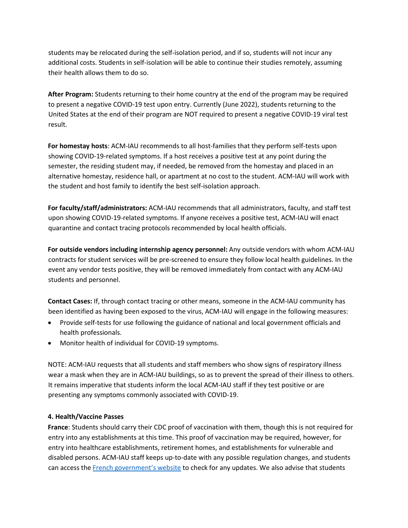students may be relocated during the self-isolation period, and if so, students will not incur any additional costs. Students in self-isolation will be able to continue their studies remotely, assuming their health allows them to do so.

**After Program:** Students returning to their home country at the end of the program may be required to present a negative COVID-19 test upon entry. Currently (June 2022), students returning to the United States at the end of their program are NOT required to present a negative COVID-19 viral test result.

**For homestay hosts**: ACM-IAU recommends to all host-families that they perform self-tests upon showing COVID-19-related symptoms. If a host receives a positive test at any point during the semester, the residing student may, if needed, be removed from the homestay and placed in an alternative homestay, residence hall, or apartment at no cost to the student. ACM-IAU will work with the student and host family to identify the best self-isolation approach.

**For faculty/staff/administrators:** ACM-IAU recommends that all administrators, faculty, and staff test upon showing COVID-19-related symptoms. If anyone receives a positive test, ACM-IAU will enact quarantine and contact tracing protocols recommended by local health officials.

**For outside vendors including internship agency personnel:** Any outside vendors with whom ACM-IAU contracts for student services will be pre-screened to ensure they follow local health guidelines. In the event any vendor tests positive, they will be removed immediately from contact with any ACM-IAU students and personnel.

**Contact Cases:** If, through contact tracing or other means, someone in the ACM-IAU community has been identified as having been exposed to the virus, ACM-IAU will engage in the following measures:

- Provide self-tests for use following the guidance of national and local government officials and health professionals.
- Monitor health of individual for COVID-19 symptoms.

NOTE: ACM-IAU requests that all students and staff members who show signs of respiratory illness wear a mask when they are in ACM-IAU buildings, so as to prevent the spread of their illness to others. It remains imperative that students inform the local ACM-IAU staff if they test positive or are presenting any symptoms commonly associated with COVID-19.

# **4. Health/Vaccine Passes**

**France**: Students should carry their CDC proof of vaccination with them, though this is not required for entry into any establishments at this time. This proof of vaccination may be required, however, for entry into healthcare establishments, retirement homes, and establishments for vulnerable and disabled persons. ACM-IAU staff keeps up-to-date with any possible regulation changes, and students can access the [French government's website](https://web.gencat.cat/en/activem/restriccions-territorials/catalunya/index.html?var_mode=calcul) to check for any updates. We also advise that students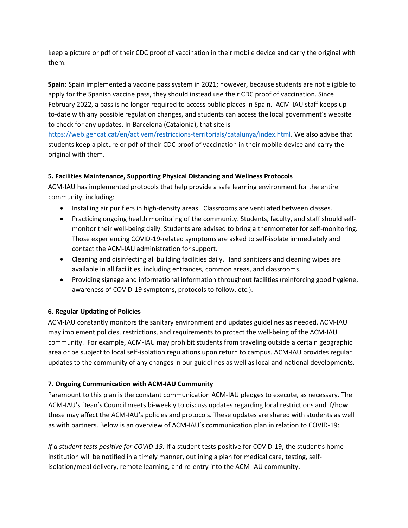keep a picture or pdf of their CDC proof of vaccination in their mobile device and carry the original with them.

**Spain**: Spain implemented a vaccine pass system in 2021; however, because students are not eligible to apply for the Spanish vaccine pass, they should instead use their CDC proof of vaccination. Since February 2022, a pass is no longer required to access public places in Spain. ACM-IAU staff keeps upto-date with any possible regulation changes, and students can access the local government's website to check for any updates. In Barcelona (Catalonia), that site is

[https://web.gencat.cat/en/activem/restriccions-territorials/catalunya/index.html.](https://www.mscbs.gob.es/en/profesionales/saludPublica/ccayes/alertasActual/nCov/spth.htm) We also advise that students keep a picture or pdf of their CDC proof of vaccination in their mobile device and carry the original with them.

# **5. Facilities Maintenance, Supporting Physical Distancing and Wellness Protocols**

ACM-IAU has implemented protocols that help provide a safe learning environment for the entire community, including:

- Installing air purifiers in high-density areas. Classrooms are ventilated between classes.
- Practicing ongoing health monitoring of the community. Students, faculty, and staff should selfmonitor their well-being daily. Students are advised to bring a thermometer for self-monitoring. Those experiencing COVID-19-related symptoms are asked to self-isolate immediately and contact the ACM-IAU administration for support.
- Cleaning and disinfecting all building facilities daily. Hand sanitizers and cleaning wipes are available in all facilities, including entrances, common areas, and classrooms.
- Providing signage and informational information throughout facilities (reinforcing good hygiene, awareness of COVID-19 symptoms, protocols to follow, etc.).

# **6. Regular Updating of Policies**

ACM**-**IAU constantly monitors the sanitary environment and updates guidelines as needed. ACM-IAU may implement policies, restrictions, and requirements to protect the well-being of the ACM-IAU community. For example, ACM-IAU may prohibit students from traveling outside a certain geographic area or be subject to local self-isolation regulations upon return to campus. ACM-IAU provides regular updates to the community of any changes in our guidelines as well as local and national developments.

# **7. Ongoing Communication with ACM-IAU Community**

Paramount to this plan is the constant communication ACM-IAU pledges to execute, as necessary. The ACM-IAU's Dean's Council meets bi-weekly to discuss updates regarding local restrictions and if/how these may affect the ACM-IAU's policies and protocols. These updates are shared with students as well as with partners. Below is an overview of ACM-IAU's communication plan in relation to COVID-19:

*If a student tests positive for COVID-19:* If a student tests positive for COVID-19, the student's home institution will be notified in a timely manner, outlining a plan for medical care, testing, selfisolation/meal delivery, remote learning, and re-entry into the ACM-IAU community.